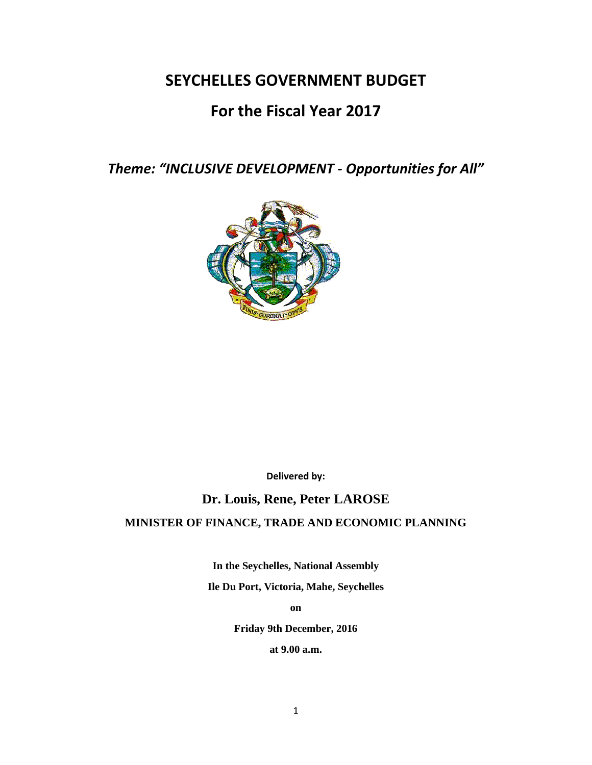# **SEYCHELLES GOVERNMENT BUDGET**

# **For the Fiscal Year 2017**

*Theme: "INCLUSIVE DEVELOPMENT - Opportunities for All"*



**Delivered by:**

# **Dr. Louis, Rene, Peter LAROSE**

# **MINISTER OF FINANCE, TRADE AND ECONOMIC PLANNING**

**In the Seychelles, National Assembly Ile Du Port, Victoria, Mahe, Seychelles**

**on**

**Friday 9th December, 2016**

**at 9.00 a.m.**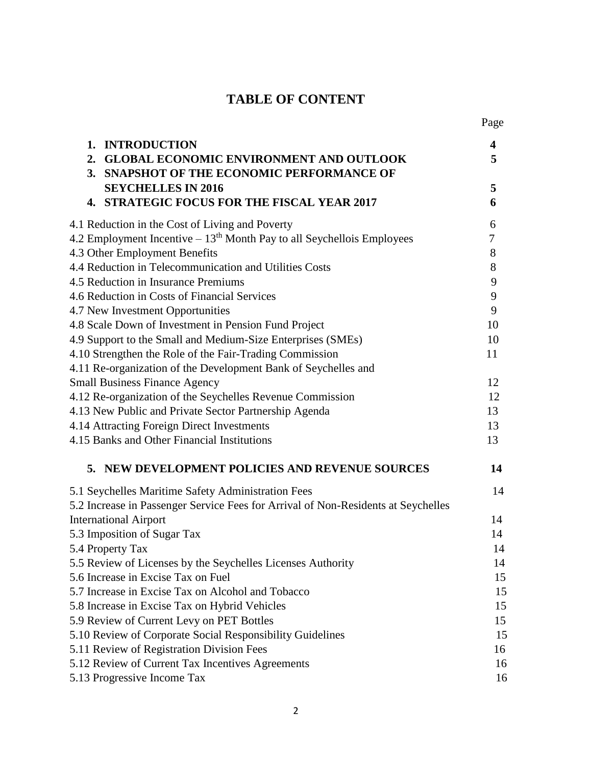# **TABLE OF CONTENT**

|                                                                                   | Page     |  |
|-----------------------------------------------------------------------------------|----------|--|
| <b>INTRODUCTION</b><br>1.                                                         | 4        |  |
| <b>GLOBAL ECONOMIC ENVIRONMENT AND OUTLOOK</b><br>2.                              | 5        |  |
| 3. SNAPSHOT OF THE ECONOMIC PERFORMANCE OF                                        |          |  |
| <b>SEYCHELLES IN 2016</b>                                                         | 5        |  |
| <b>4. STRATEGIC FOCUS FOR THE FISCAL YEAR 2017</b>                                | 6        |  |
| 4.1 Reduction in the Cost of Living and Poverty                                   | 6        |  |
| 4.2 Employment Incentive $-13th$ Month Pay to all Seychellois Employees           | 7        |  |
| 4.3 Other Employment Benefits                                                     | 8        |  |
| 4.4 Reduction in Telecommunication and Utilities Costs                            | 8        |  |
| 4.5 Reduction in Insurance Premiums                                               |          |  |
| 4.6 Reduction in Costs of Financial Services                                      | 9        |  |
| 4.7 New Investment Opportunities                                                  | 9        |  |
| 4.8 Scale Down of Investment in Pension Fund Project                              | 10       |  |
| 4.9 Support to the Small and Medium-Size Enterprises (SMEs)                       | 10       |  |
| 4.10 Strengthen the Role of the Fair-Trading Commission                           | 11       |  |
| 4.11 Re-organization of the Development Bank of Seychelles and                    |          |  |
| <b>Small Business Finance Agency</b>                                              | 12       |  |
| 4.12 Re-organization of the Seychelles Revenue Commission                         | 12       |  |
| 4.13 New Public and Private Sector Partnership Agenda                             | 13<br>13 |  |
| 4.14 Attracting Foreign Direct Investments                                        |          |  |
| 4.15 Banks and Other Financial Institutions                                       | 13       |  |
| 5. NEW DEVELOPMENT POLICIES AND REVENUE SOURCES                                   | 14       |  |
| 5.1 Seychelles Maritime Safety Administration Fees                                | 14       |  |
| 5.2 Increase in Passenger Service Fees for Arrival of Non-Residents at Seychelles |          |  |
| <b>International Airport</b>                                                      | 14       |  |
| 5.3 Imposition of Sugar Tax                                                       | 14       |  |
| 5.4 Property Tax                                                                  | 14       |  |
| 5.5 Review of Licenses by the Seychelles Licenses Authority                       | 14       |  |
| 5.6 Increase in Excise Tax on Fuel                                                | 15       |  |
| 5.7 Increase in Excise Tax on Alcohol and Tobacco                                 | 15       |  |
| 5.8 Increase in Excise Tax on Hybrid Vehicles                                     | 15       |  |
| 5.9 Review of Current Levy on PET Bottles                                         | 15       |  |
| 5.10 Review of Corporate Social Responsibility Guidelines                         | 15       |  |
| 5.11 Review of Registration Division Fees                                         | 16       |  |
| 5.12 Review of Current Tax Incentives Agreements                                  | 16       |  |
| 5.13 Progressive Income Tax                                                       | 16       |  |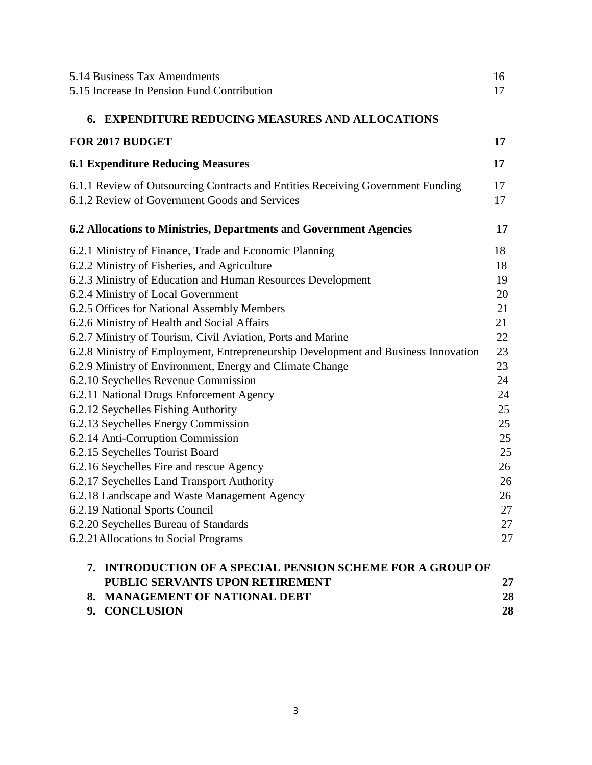|    | 5.14 Business Tax Amendments                                                                                                     | 16       |
|----|----------------------------------------------------------------------------------------------------------------------------------|----------|
|    | 5.15 Increase In Pension Fund Contribution                                                                                       | 17       |
|    |                                                                                                                                  |          |
|    | 6. EXPENDITURE REDUCING MEASURES AND ALLOCATIONS                                                                                 |          |
|    | <b>FOR 2017 BUDGET</b>                                                                                                           | 17       |
|    | <b>6.1 Expenditure Reducing Measures</b>                                                                                         | 17       |
|    | 6.1.1 Review of Outsourcing Contracts and Entities Receiving Government Funding<br>6.1.2 Review of Government Goods and Services | 17<br>17 |
|    | 6.2 Allocations to Ministries, Departments and Government Agencies                                                               | 17       |
|    | 6.2.1 Ministry of Finance, Trade and Economic Planning                                                                           | 18       |
|    | 6.2.2 Ministry of Fisheries, and Agriculture                                                                                     | 18       |
|    | 6.2.3 Ministry of Education and Human Resources Development                                                                      | 19       |
|    | 6.2.4 Ministry of Local Government                                                                                               | 20       |
|    | 6.2.5 Offices for National Assembly Members                                                                                      | 21       |
|    | 6.2.6 Ministry of Health and Social Affairs                                                                                      | 21       |
|    | 6.2.7 Ministry of Tourism, Civil Aviation, Ports and Marine                                                                      | 22       |
|    | 6.2.8 Ministry of Employment, Entrepreneurship Development and Business Innovation                                               | 23       |
|    | 6.2.9 Ministry of Environment, Energy and Climate Change                                                                         | 23       |
|    | 6.2.10 Seychelles Revenue Commission                                                                                             | 24       |
|    | 6.2.11 National Drugs Enforcement Agency                                                                                         | 24       |
|    | 6.2.12 Seychelles Fishing Authority                                                                                              | 25       |
|    | 6.2.13 Seychelles Energy Commission                                                                                              | 25       |
|    | 6.2.14 Anti-Corruption Commission                                                                                                | 25       |
|    | 6.2.15 Seychelles Tourist Board                                                                                                  | 25       |
|    | 6.2.16 Seychelles Fire and rescue Agency                                                                                         | 26       |
|    | 6.2.17 Seychelles Land Transport Authority                                                                                       | 26       |
|    | 6.2.18 Landscape and Waste Management Agency                                                                                     | 26       |
|    | 6.2.19 National Sports Council                                                                                                   | 27       |
|    | 6.2.20 Seychelles Bureau of Standards                                                                                            | 27       |
|    | 6.2.21 Allocations to Social Programs                                                                                            | 27       |
| 7. | <b>INTRODUCTION OF A SPECIAL PENSION SCHEME FOR A GROUP OF</b>                                                                   |          |
|    | PUBLIC SERVANTS UPON RETIREMENT                                                                                                  | 27       |
|    | 8. MANAGEMENT OF NATIONAL DEBT                                                                                                   | 28       |
|    | 9. CONCLUSION                                                                                                                    | 28       |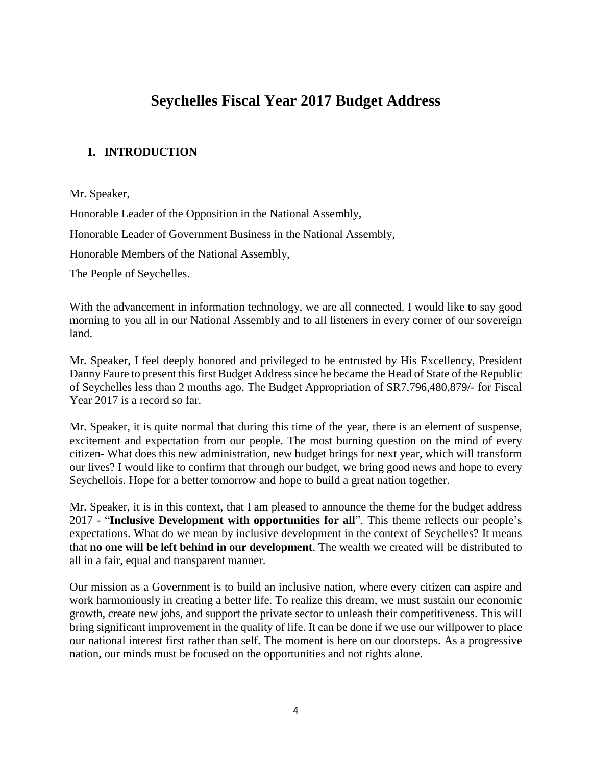# **Seychelles Fiscal Year 2017 Budget Address**

# **1. INTRODUCTION**

Mr. Speaker,

Honorable Leader of the Opposition in the National Assembly,

Honorable Leader of Government Business in the National Assembly,

Honorable Members of the National Assembly,

The People of Seychelles.

With the advancement in information technology, we are all connected. I would like to say good morning to you all in our National Assembly and to all listeners in every corner of our sovereign land.

Mr. Speaker, I feel deeply honored and privileged to be entrusted by His Excellency, President Danny Faure to present this first Budget Address since he became the Head of State of the Republic of Seychelles less than 2 months ago. The Budget Appropriation of SR7,796,480,879/- for Fiscal Year 2017 is a record so far.

Mr. Speaker, it is quite normal that during this time of the year, there is an element of suspense, excitement and expectation from our people. The most burning question on the mind of every citizen- What does this new administration, new budget brings for next year, which will transform our lives? I would like to confirm that through our budget, we bring good news and hope to every Seychellois. Hope for a better tomorrow and hope to build a great nation together.

Mr. Speaker, it is in this context, that I am pleased to announce the theme for the budget address 2017 - "**Inclusive Development with opportunities for all**". This theme reflects our people's expectations. What do we mean by inclusive development in the context of Seychelles? It means that **no one will be left behind in our development**. The wealth we created will be distributed to all in a fair, equal and transparent manner.

Our mission as a Government is to build an inclusive nation, where every citizen can aspire and work harmoniously in creating a better life. To realize this dream, we must sustain our economic growth, create new jobs, and support the private sector to unleash their competitiveness. This will bring significant improvement in the quality of life. It can be done if we use our willpower to place our national interest first rather than self. The moment is here on our doorsteps. As a progressive nation, our minds must be focused on the opportunities and not rights alone.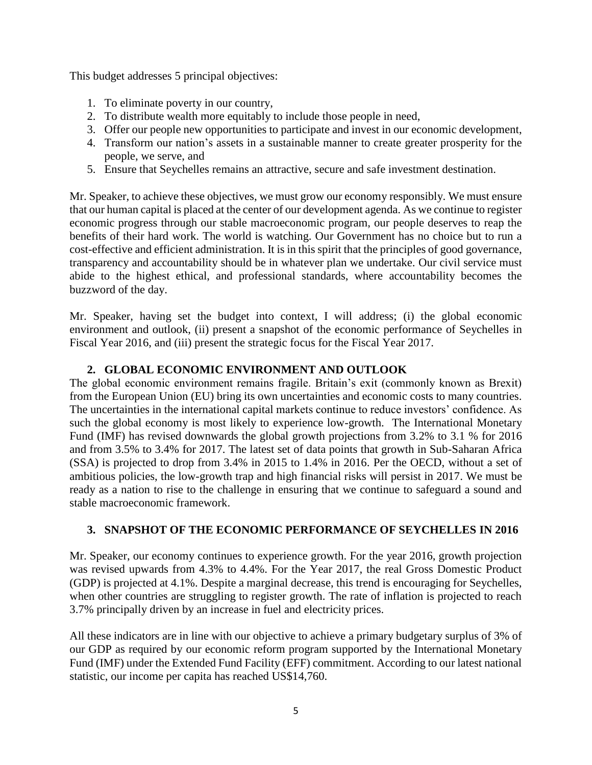This budget addresses 5 principal objectives:

- 1. To eliminate poverty in our country,
- 2. To distribute wealth more equitably to include those people in need,
- 3. Offer our people new opportunities to participate and invest in our economic development,
- 4. Transform our nation's assets in a sustainable manner to create greater prosperity for the people, we serve, and
- 5. Ensure that Seychelles remains an attractive, secure and safe investment destination.

Mr. Speaker, to achieve these objectives, we must grow our economy responsibly. We must ensure that our human capital is placed at the center of our development agenda. As we continue to register economic progress through our stable macroeconomic program, our people deserves to reap the benefits of their hard work. The world is watching. Our Government has no choice but to run a cost-effective and efficient administration. It is in this spirit that the principles of good governance, transparency and accountability should be in whatever plan we undertake. Our civil service must abide to the highest ethical, and professional standards, where accountability becomes the buzzword of the day.

Mr. Speaker, having set the budget into context, I will address; (i) the global economic environment and outlook, (ii) present a snapshot of the economic performance of Seychelles in Fiscal Year 2016, and (iii) present the strategic focus for the Fiscal Year 2017.

# **2. GLOBAL ECONOMIC ENVIRONMENT AND OUTLOOK**

The global economic environment remains fragile. Britain's exit (commonly known as Brexit) from the European Union (EU) bring its own uncertainties and economic costs to many countries. The uncertainties in the international capital markets continue to reduce investors' confidence. As such the global economy is most likely to experience low-growth. The International Monetary Fund (IMF) has revised downwards the global growth projections from 3.2% to 3.1 % for 2016 and from 3.5% to 3.4% for 2017. The latest set of data points that growth in Sub-Saharan Africa (SSA) is projected to drop from 3.4% in 2015 to 1.4% in 2016. Per the OECD, without a set of ambitious policies, the low-growth trap and high financial risks will persist in 2017. We must be ready as a nation to rise to the challenge in ensuring that we continue to safeguard a sound and stable macroeconomic framework.

# **3. SNAPSHOT OF THE ECONOMIC PERFORMANCE OF SEYCHELLES IN 2016**

Mr. Speaker, our economy continues to experience growth. For the year 2016, growth projection was revised upwards from 4.3% to 4.4%. For the Year 2017, the real Gross Domestic Product (GDP) is projected at 4.1%. Despite a marginal decrease, this trend is encouraging for Seychelles, when other countries are struggling to register growth. The rate of inflation is projected to reach 3.7% principally driven by an increase in fuel and electricity prices.

All these indicators are in line with our objective to achieve a primary budgetary surplus of 3% of our GDP as required by our economic reform program supported by the International Monetary Fund (IMF) under the Extended Fund Facility (EFF) commitment. According to our latest national statistic, our income per capita has reached US\$14,760.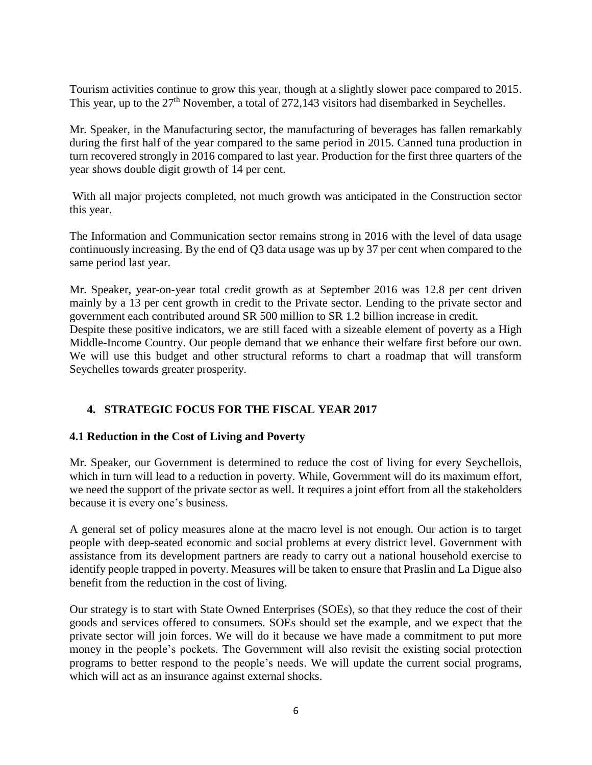Tourism activities continue to grow this year, though at a slightly slower pace compared to 2015. This year, up to the 27<sup>th</sup> November, a total of 272,143 visitors had disembarked in Seychelles.

Mr. Speaker, in the Manufacturing sector, the manufacturing of beverages has fallen remarkably during the first half of the year compared to the same period in 2015. Canned tuna production in turn recovered strongly in 2016 compared to last year. Production for the first three quarters of the year shows double digit growth of 14 per cent.

With all major projects completed, not much growth was anticipated in the Construction sector this year.

The Information and Communication sector remains strong in 2016 with the level of data usage continuously increasing. By the end of Q3 data usage was up by 37 per cent when compared to the same period last year.

Mr. Speaker, year-on-year total credit growth as at September 2016 was 12.8 per cent driven mainly by a 13 per cent growth in credit to the Private sector. Lending to the private sector and government each contributed around SR 500 million to SR 1.2 billion increase in credit. Despite these positive indicators, we are still faced with a sizeable element of poverty as a High Middle-Income Country. Our people demand that we enhance their welfare first before our own. We will use this budget and other structural reforms to chart a roadmap that will transform Seychelles towards greater prosperity.

# **4. STRATEGIC FOCUS FOR THE FISCAL YEAR 2017**

#### **4.1 Reduction in the Cost of Living and Poverty**

Mr. Speaker, our Government is determined to reduce the cost of living for every Seychellois, which in turn will lead to a reduction in poverty. While, Government will do its maximum effort, we need the support of the private sector as well. It requires a joint effort from all the stakeholders because it is every one's business.

A general set of policy measures alone at the macro level is not enough. Our action is to target people with deep-seated economic and social problems at every district level. Government with assistance from its development partners are ready to carry out a national household exercise to identify people trapped in poverty. Measures will be taken to ensure that Praslin and La Digue also benefit from the reduction in the cost of living.

Our strategy is to start with State Owned Enterprises (SOEs), so that they reduce the cost of their goods and services offered to consumers. SOEs should set the example, and we expect that the private sector will join forces. We will do it because we have made a commitment to put more money in the people's pockets. The Government will also revisit the existing social protection programs to better respond to the people's needs. We will update the current social programs, which will act as an insurance against external shocks.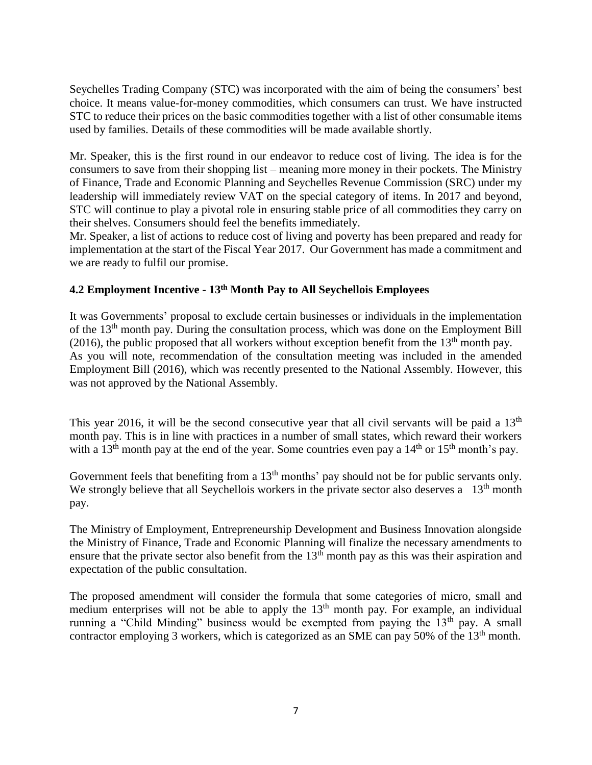Seychelles Trading Company (STC) was incorporated with the aim of being the consumers' best choice. It means value-for-money commodities, which consumers can trust. We have instructed STC to reduce their prices on the basic commodities together with a list of other consumable items used by families. Details of these commodities will be made available shortly.

Mr. Speaker, this is the first round in our endeavor to reduce cost of living. The idea is for the consumers to save from their shopping list – meaning more money in their pockets. The Ministry of Finance, Trade and Economic Planning and Seychelles Revenue Commission (SRC) under my leadership will immediately review VAT on the special category of items. In 2017 and beyond, STC will continue to play a pivotal role in ensuring stable price of all commodities they carry on their shelves. Consumers should feel the benefits immediately.

Mr. Speaker, a list of actions to reduce cost of living and poverty has been prepared and ready for implementation at the start of the Fiscal Year 2017. Our Government has made a commitment and we are ready to fulfil our promise.

# **4.2 Employment Incentive - 13th Month Pay to All Seychellois Employees**

It was Governments' proposal to exclude certain businesses or individuals in the implementation of the  $13<sup>th</sup>$  month pay. During the consultation process, which was done on the Employment Bill (2016), the public proposed that all workers without exception benefit from the  $13<sup>th</sup>$  month pay. As you will note, recommendation of the consultation meeting was included in the amended Employment Bill (2016), which was recently presented to the National Assembly. However, this was not approved by the National Assembly.

This year 2016, it will be the second consecutive year that all civil servants will be paid a  $13<sup>th</sup>$ month pay. This is in line with practices in a number of small states, which reward their workers with a  $13<sup>th</sup>$  month pay at the end of the year. Some countries even pay a  $14<sup>th</sup>$  or  $15<sup>th</sup>$  month's pay.

Government feels that benefiting from a 13<sup>th</sup> months' pay should not be for public servants only. We strongly believe that all Seychellois workers in the private sector also deserves a  $13<sup>th</sup>$  month pay.

The Ministry of Employment, Entrepreneurship Development and Business Innovation alongside the Ministry of Finance, Trade and Economic Planning will finalize the necessary amendments to ensure that the private sector also benefit from the 13<sup>th</sup> month pay as this was their aspiration and expectation of the public consultation.

The proposed amendment will consider the formula that some categories of micro, small and medium enterprises will not be able to apply the  $13<sup>th</sup>$  month pay. For example, an individual running a "Child Minding" business would be exempted from paying the  $13<sup>th</sup>$  pay. A small contractor employing 3 workers, which is categorized as an SME can pay 50% of the  $13<sup>th</sup>$  month.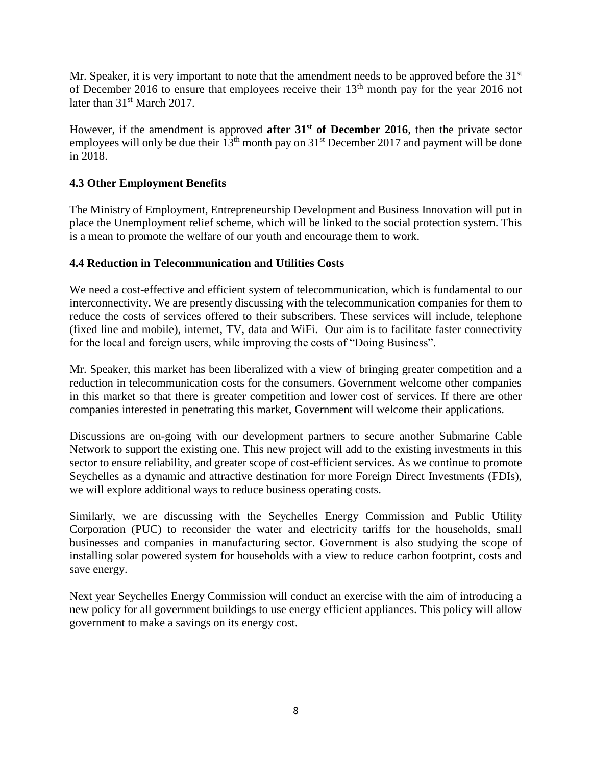Mr. Speaker, it is very important to note that the amendment needs to be approved before the 31<sup>st</sup> of December 2016 to ensure that employees receive their  $13<sup>th</sup>$  month pay for the year 2016 not later than 31<sup>st</sup> March 2017.

However, if the amendment is approved **after 31st of December 2016**, then the private sector employees will only be due their  $13<sup>th</sup>$  month pay on  $31<sup>st</sup>$  December 2017 and payment will be done in 2018.

# **4.3 Other Employment Benefits**

The Ministry of Employment, Entrepreneurship Development and Business Innovation will put in place the Unemployment relief scheme, which will be linked to the social protection system. This is a mean to promote the welfare of our youth and encourage them to work.

# **4.4 Reduction in Telecommunication and Utilities Costs**

We need a cost-effective and efficient system of telecommunication, which is fundamental to our interconnectivity. We are presently discussing with the telecommunication companies for them to reduce the costs of services offered to their subscribers. These services will include, telephone (fixed line and mobile), internet, TV, data and WiFi. Our aim is to facilitate faster connectivity for the local and foreign users, while improving the costs of "Doing Business".

Mr. Speaker, this market has been liberalized with a view of bringing greater competition and a reduction in telecommunication costs for the consumers. Government welcome other companies in this market so that there is greater competition and lower cost of services. If there are other companies interested in penetrating this market, Government will welcome their applications.

Discussions are on-going with our development partners to secure another Submarine Cable Network to support the existing one. This new project will add to the existing investments in this sector to ensure reliability, and greater scope of cost-efficient services. As we continue to promote Seychelles as a dynamic and attractive destination for more Foreign Direct Investments (FDIs), we will explore additional ways to reduce business operating costs.

Similarly, we are discussing with the Seychelles Energy Commission and Public Utility Corporation (PUC) to reconsider the water and electricity tariffs for the households, small businesses and companies in manufacturing sector. Government is also studying the scope of installing solar powered system for households with a view to reduce carbon footprint, costs and save energy.

Next year Seychelles Energy Commission will conduct an exercise with the aim of introducing a new policy for all government buildings to use energy efficient appliances. This policy will allow government to make a savings on its energy cost.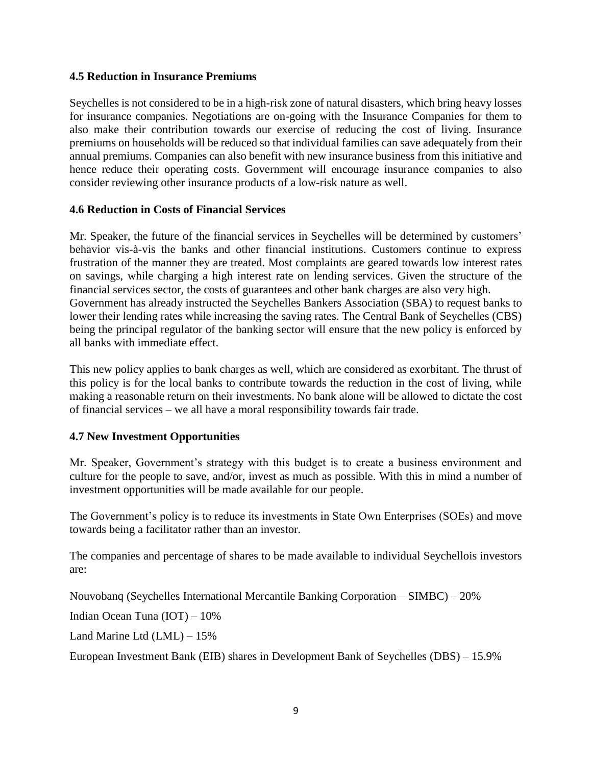#### **4.5 Reduction in Insurance Premiums**

Seychelles is not considered to be in a high-risk zone of natural disasters, which bring heavy losses for insurance companies. Negotiations are on-going with the Insurance Companies for them to also make their contribution towards our exercise of reducing the cost of living. Insurance premiums on households will be reduced so that individual families can save adequately from their annual premiums. Companies can also benefit with new insurance business from this initiative and hence reduce their operating costs. Government will encourage insurance companies to also consider reviewing other insurance products of a low-risk nature as well.

#### **4.6 Reduction in Costs of Financial Services**

Mr. Speaker, the future of the financial services in Seychelles will be determined by customers' behavior vis-à-vis the banks and other financial institutions. Customers continue to express frustration of the manner they are treated. Most complaints are geared towards low interest rates on savings, while charging a high interest rate on lending services. Given the structure of the financial services sector, the costs of guarantees and other bank charges are also very high. Government has already instructed the Seychelles Bankers Association (SBA) to request banks to lower their lending rates while increasing the saving rates. The Central Bank of Seychelles (CBS) being the principal regulator of the banking sector will ensure that the new policy is enforced by all banks with immediate effect.

This new policy applies to bank charges as well, which are considered as exorbitant. The thrust of this policy is for the local banks to contribute towards the reduction in the cost of living, while making a reasonable return on their investments. No bank alone will be allowed to dictate the cost of financial services – we all have a moral responsibility towards fair trade.

# **4.7 New Investment Opportunities**

Mr. Speaker, Government's strategy with this budget is to create a business environment and culture for the people to save, and/or, invest as much as possible. With this in mind a number of investment opportunities will be made available for our people.

The Government's policy is to reduce its investments in State Own Enterprises (SOEs) and move towards being a facilitator rather than an investor.

The companies and percentage of shares to be made available to individual Seychellois investors are:

Nouvobanq (Seychelles International Mercantile Banking Corporation – SIMBC) – 20%

Indian Ocean Tuna (IOT) – 10%

Land Marine Ltd (LML) – 15%

European Investment Bank (EIB) shares in Development Bank of Seychelles (DBS) – 15.9%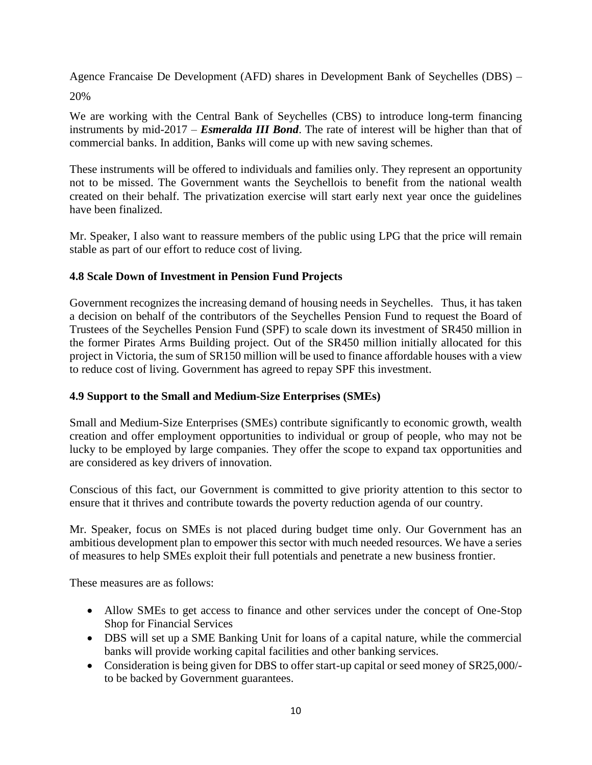Agence Francaise De Development (AFD) shares in Development Bank of Seychelles (DBS) – 20%

We are working with the Central Bank of Seychelles (CBS) to introduce long-term financing instruments by mid-2017 – *Esmeralda III Bond*. The rate of interest will be higher than that of commercial banks. In addition, Banks will come up with new saving schemes.

These instruments will be offered to individuals and families only. They represent an opportunity not to be missed. The Government wants the Seychellois to benefit from the national wealth created on their behalf. The privatization exercise will start early next year once the guidelines have been finalized.

Mr. Speaker, I also want to reassure members of the public using LPG that the price will remain stable as part of our effort to reduce cost of living.

# **4.8 Scale Down of Investment in Pension Fund Projects**

Government recognizes the increasing demand of housing needs in Seychelles. Thus, it has taken a decision on behalf of the contributors of the Seychelles Pension Fund to request the Board of Trustees of the Seychelles Pension Fund (SPF) to scale down its investment of SR450 million in the former Pirates Arms Building project. Out of the SR450 million initially allocated for this project in Victoria, the sum of SR150 million will be used to finance affordable houses with a view to reduce cost of living. Government has agreed to repay SPF this investment.

# **4.9 Support to the Small and Medium-Size Enterprises (SMEs)**

Small and Medium-Size Enterprises (SMEs) contribute significantly to economic growth, wealth creation and offer employment opportunities to individual or group of people, who may not be lucky to be employed by large companies. They offer the scope to expand tax opportunities and are considered as key drivers of innovation.

Conscious of this fact, our Government is committed to give priority attention to this sector to ensure that it thrives and contribute towards the poverty reduction agenda of our country.

Mr. Speaker, focus on SMEs is not placed during budget time only. Our Government has an ambitious development plan to empower this sector with much needed resources. We have a series of measures to help SMEs exploit their full potentials and penetrate a new business frontier.

These measures are as follows:

- Allow SMEs to get access to finance and other services under the concept of One-Stop Shop for Financial Services
- DBS will set up a SME Banking Unit for loans of a capital nature, while the commercial banks will provide working capital facilities and other banking services.
- Consideration is being given for DBS to offer start-up capital or seed money of SR25,000/ to be backed by Government guarantees.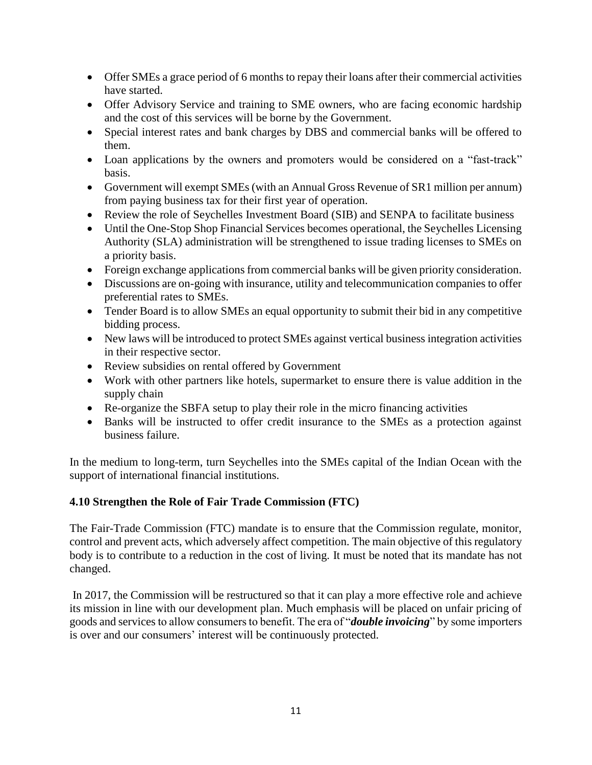- Offer SMEs a grace period of 6 months to repay their loans after their commercial activities have started.
- Offer Advisory Service and training to SME owners, who are facing economic hardship and the cost of this services will be borne by the Government.
- Special interest rates and bank charges by DBS and commercial banks will be offered to them.
- Loan applications by the owners and promoters would be considered on a "fast-track" basis.
- Government will exempt SMEs (with an Annual Gross Revenue of SR1 million per annum) from paying business tax for their first year of operation.
- Review the role of Seychelles Investment Board (SIB) and SENPA to facilitate business
- Until the One-Stop Shop Financial Services becomes operational, the Seychelles Licensing Authority (SLA) administration will be strengthened to issue trading licenses to SMEs on a priority basis.
- Foreign exchange applications from commercial banks will be given priority consideration.
- Discussions are on-going with insurance, utility and telecommunication companies to offer preferential rates to SMEs.
- Tender Board is to allow SMEs an equal opportunity to submit their bid in any competitive bidding process.
- New laws will be introduced to protect SMEs against vertical business integration activities in their respective sector.
- Review subsidies on rental offered by Government
- Work with other partners like hotels, supermarket to ensure there is value addition in the supply chain
- Re-organize the SBFA setup to play their role in the micro financing activities
- Banks will be instructed to offer credit insurance to the SMEs as a protection against business failure.

In the medium to long-term, turn Seychelles into the SMEs capital of the Indian Ocean with the support of international financial institutions.

# **4.10 Strengthen the Role of Fair Trade Commission (FTC)**

The Fair-Trade Commission (FTC) mandate is to ensure that the Commission regulate, monitor, control and prevent acts, which adversely affect competition. The main objective of this regulatory body is to contribute to a reduction in the cost of living. It must be noted that its mandate has not changed.

In 2017, the Commission will be restructured so that it can play a more effective role and achieve its mission in line with our development plan. Much emphasis will be placed on unfair pricing of goods and servicesto allow consumers to benefit. The era of "*double invoicing*" by some importers is over and our consumers' interest will be continuously protected.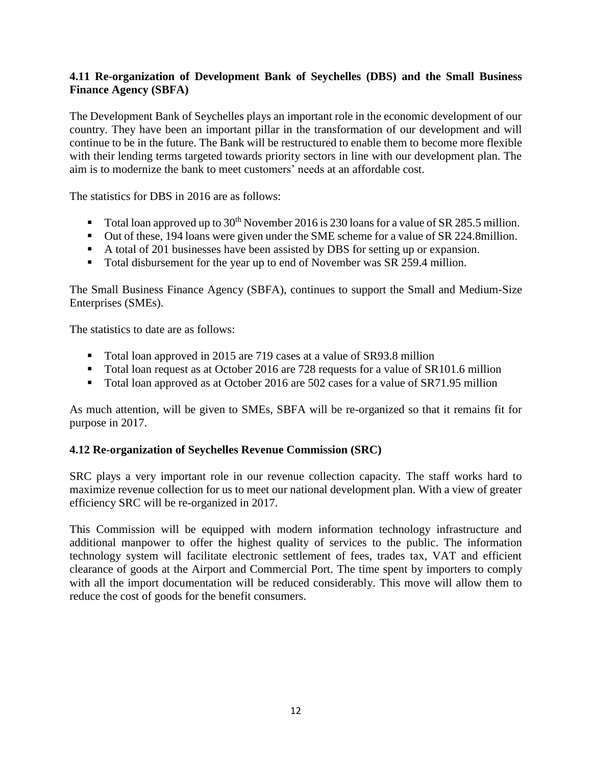# **4.11 Re-organization of Development Bank of Seychelles (DBS) and the Small Business Finance Agency (SBFA)**

The Development Bank of Seychelles plays an important role in the economic development of our country. They have been an important pillar in the transformation of our development and will continue to be in the future. The Bank will be restructured to enable them to become more flexible with their lending terms targeted towards priority sectors in line with our development plan. The aim is to modernize the bank to meet customers' needs at an affordable cost.

The statistics for DBS in 2016 are as follows:

- Total loan approved up to  $30<sup>th</sup>$  November 2016 is 230 loans for a value of SR 285.5 million.
- Out of these, 194 loans were given under the SME scheme for a value of SR 224.8million.
- A total of 201 businesses have been assisted by DBS for setting up or expansion.
- Total disbursement for the year up to end of November was SR 259.4 million.

The Small Business Finance Agency (SBFA), continues to support the Small and Medium-Size Enterprises (SMEs).

The statistics to date are as follows:

- Total loan approved in 2015 are 719 cases at a value of SR93.8 million
- Total loan request as at October 2016 are 728 requests for a value of SR101.6 million
- Total loan approved as at October 2016 are 502 cases for a value of SR71.95 million

As much attention, will be given to SMEs, SBFA will be re-organized so that it remains fit for purpose in 2017.

#### **4.12 Re-organization of Seychelles Revenue Commission (SRC)**

SRC plays a very important role in our revenue collection capacity. The staff works hard to maximize revenue collection for us to meet our national development plan. With a view of greater efficiency SRC will be re-organized in 2017.

This Commission will be equipped with modern information technology infrastructure and additional manpower to offer the highest quality of services to the public. The information technology system will facilitate electronic settlement of fees, trades tax, VAT and efficient clearance of goods at the Airport and Commercial Port. The time spent by importers to comply with all the import documentation will be reduced considerably. This move will allow them to reduce the cost of goods for the benefit consumers.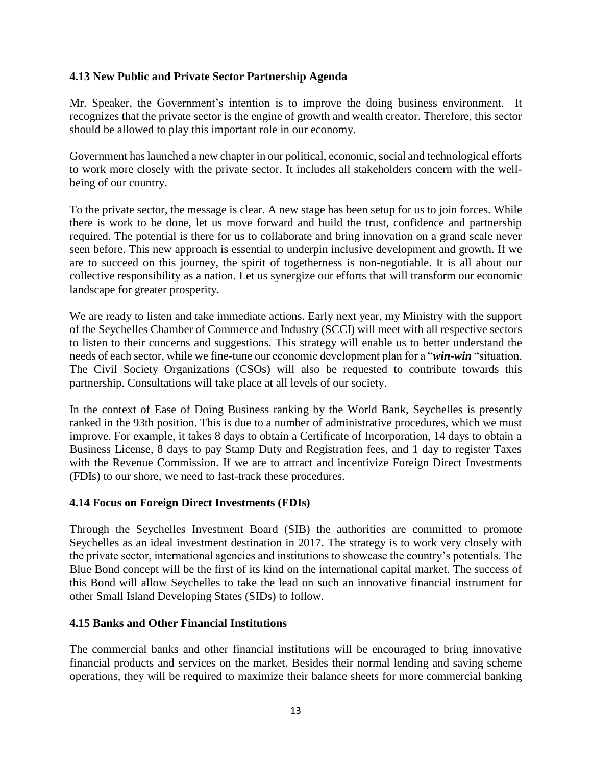#### **4.13 New Public and Private Sector Partnership Agenda**

Mr. Speaker, the Government's intention is to improve the doing business environment. It recognizes that the private sector is the engine of growth and wealth creator. Therefore, this sector should be allowed to play this important role in our economy.

Government has launched a new chapter in our political, economic, social and technological efforts to work more closely with the private sector. It includes all stakeholders concern with the wellbeing of our country.

To the private sector, the message is clear. A new stage has been setup for us to join forces. While there is work to be done, let us move forward and build the trust, confidence and partnership required. The potential is there for us to collaborate and bring innovation on a grand scale never seen before. This new approach is essential to underpin inclusive development and growth. If we are to succeed on this journey, the spirit of togetherness is non-negotiable. It is all about our collective responsibility as a nation. Let us synergize our efforts that will transform our economic landscape for greater prosperity.

We are ready to listen and take immediate actions. Early next year, my Ministry with the support of the Seychelles Chamber of Commerce and Industry (SCCI) will meet with all respective sectors to listen to their concerns and suggestions. This strategy will enable us to better understand the needs of each sector, while we fine-tune our economic development plan for a "*win-win* "situation. The Civil Society Organizations (CSOs) will also be requested to contribute towards this partnership. Consultations will take place at all levels of our society.

In the context of Ease of Doing Business ranking by the World Bank, Seychelles is presently ranked in the 93th position. This is due to a number of administrative procedures, which we must improve. For example, it takes 8 days to obtain a Certificate of Incorporation, 14 days to obtain a Business License, 8 days to pay Stamp Duty and Registration fees, and 1 day to register Taxes with the Revenue Commission. If we are to attract and incentivize Foreign Direct Investments (FDIs) to our shore, we need to fast-track these procedures.

# **4.14 Focus on Foreign Direct Investments (FDIs)**

Through the Seychelles Investment Board (SIB) the authorities are committed to promote Seychelles as an ideal investment destination in 2017. The strategy is to work very closely with the private sector, international agencies and institutions to showcase the country's potentials. The Blue Bond concept will be the first of its kind on the international capital market. The success of this Bond will allow Seychelles to take the lead on such an innovative financial instrument for other Small Island Developing States (SIDs) to follow.

#### **4.15 Banks and Other Financial Institutions**

The commercial banks and other financial institutions will be encouraged to bring innovative financial products and services on the market. Besides their normal lending and saving scheme operations, they will be required to maximize their balance sheets for more commercial banking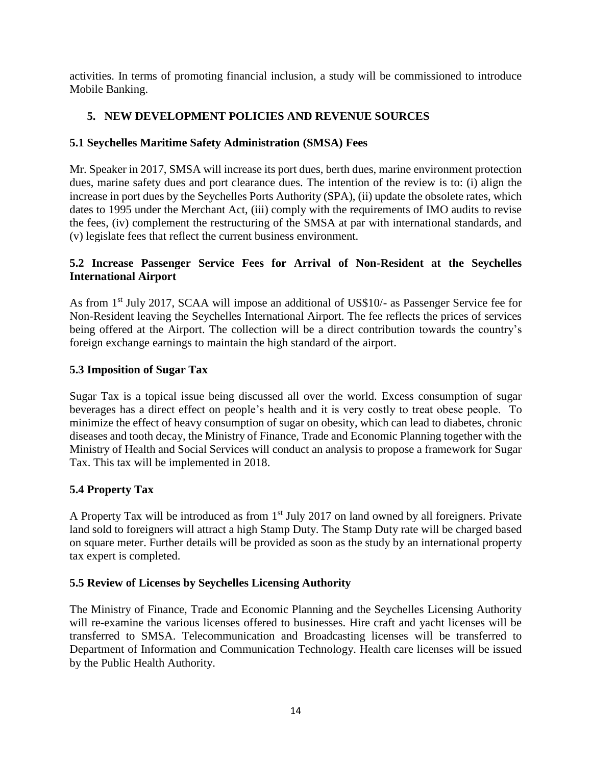activities. In terms of promoting financial inclusion, a study will be commissioned to introduce Mobile Banking.

# **5. NEW DEVELOPMENT POLICIES AND REVENUE SOURCES**

# **5.1 Seychelles Maritime Safety Administration (SMSA) Fees**

Mr. Speaker in 2017, SMSA will increase its port dues, berth dues, marine environment protection dues, marine safety dues and port clearance dues. The intention of the review is to: (i) align the increase in port dues by the Seychelles Ports Authority (SPA), (ii) update the obsolete rates, which dates to 1995 under the Merchant Act, (iii) comply with the requirements of IMO audits to revise the fees, (iv) complement the restructuring of the SMSA at par with international standards, and (v) legislate fees that reflect the current business environment.

# **5.2 Increase Passenger Service Fees for Arrival of Non-Resident at the Seychelles International Airport**

As from 1<sup>st</sup> July 2017, SCAA will impose an additional of US\$10/- as Passenger Service fee for Non-Resident leaving the Seychelles International Airport. The fee reflects the prices of services being offered at the Airport. The collection will be a direct contribution towards the country's foreign exchange earnings to maintain the high standard of the airport.

# **5.3 Imposition of Sugar Tax**

Sugar Tax is a topical issue being discussed all over the world. Excess consumption of sugar beverages has a direct effect on people's health and it is very costly to treat obese people. To minimize the effect of heavy consumption of sugar on obesity, which can lead to diabetes, chronic diseases and tooth decay, the Ministry of Finance, Trade and Economic Planning together with the Ministry of Health and Social Services will conduct an analysis to propose a framework for Sugar Tax. This tax will be implemented in 2018.

# **5.4 Property Tax**

A Property Tax will be introduced as from 1<sup>st</sup> July 2017 on land owned by all foreigners. Private land sold to foreigners will attract a high Stamp Duty. The Stamp Duty rate will be charged based on square meter. Further details will be provided as soon as the study by an international property tax expert is completed.

# **5.5 Review of Licenses by Seychelles Licensing Authority**

The Ministry of Finance, Trade and Economic Planning and the Seychelles Licensing Authority will re-examine the various licenses offered to businesses. Hire craft and yacht licenses will be transferred to SMSA. Telecommunication and Broadcasting licenses will be transferred to Department of Information and Communication Technology. Health care licenses will be issued by the Public Health Authority.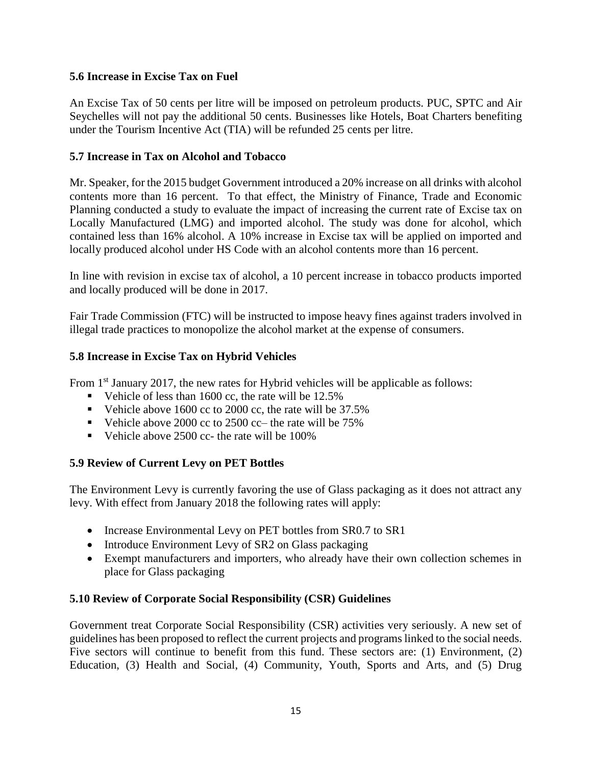# **5.6 Increase in Excise Tax on Fuel**

An Excise Tax of 50 cents per litre will be imposed on petroleum products. PUC, SPTC and Air Seychelles will not pay the additional 50 cents. Businesses like Hotels, Boat Charters benefiting under the Tourism Incentive Act (TIA) will be refunded 25 cents per litre.

#### **5.7 Increase in Tax on Alcohol and Tobacco**

Mr. Speaker, for the 2015 budget Government introduced a 20% increase on all drinks with alcohol contents more than 16 percent. To that effect, the Ministry of Finance, Trade and Economic Planning conducted a study to evaluate the impact of increasing the current rate of Excise tax on Locally Manufactured (LMG) and imported alcohol. The study was done for alcohol, which contained less than 16% alcohol. A 10% increase in Excise tax will be applied on imported and locally produced alcohol under HS Code with an alcohol contents more than 16 percent.

In line with revision in excise tax of alcohol, a 10 percent increase in tobacco products imported and locally produced will be done in 2017.

Fair Trade Commission (FTC) will be instructed to impose heavy fines against traders involved in illegal trade practices to monopolize the alcohol market at the expense of consumers.

#### **5.8 Increase in Excise Tax on Hybrid Vehicles**

From 1<sup>st</sup> January 2017, the new rates for Hybrid vehicles will be applicable as follows:

- Vehicle of less than 1600 cc, the rate will be  $12.5\%$
- Vehicle above 1600 cc to 2000 cc, the rate will be 37.5%
- Vehicle above 2000 cc to 2500 cc– the rate will be  $75\%$
- Vehicle above  $2500$  cc- the rate will be  $100\%$

# **5.9 Review of Current Levy on PET Bottles**

The Environment Levy is currently favoring the use of Glass packaging as it does not attract any levy. With effect from January 2018 the following rates will apply:

- Increase Environmental Levy on PET bottles from SR0.7 to SR1
- Introduce Environment Levy of SR2 on Glass packaging
- Exempt manufacturers and importers, who already have their own collection schemes in place for Glass packaging

#### **5.10 Review of Corporate Social Responsibility (CSR) Guidelines**

Government treat Corporate Social Responsibility (CSR) activities very seriously. A new set of guidelines has been proposed to reflect the current projects and programs linked to the social needs. Five sectors will continue to benefit from this fund. These sectors are: (1) Environment, (2) Education, (3) Health and Social, (4) Community, Youth, Sports and Arts, and (5) Drug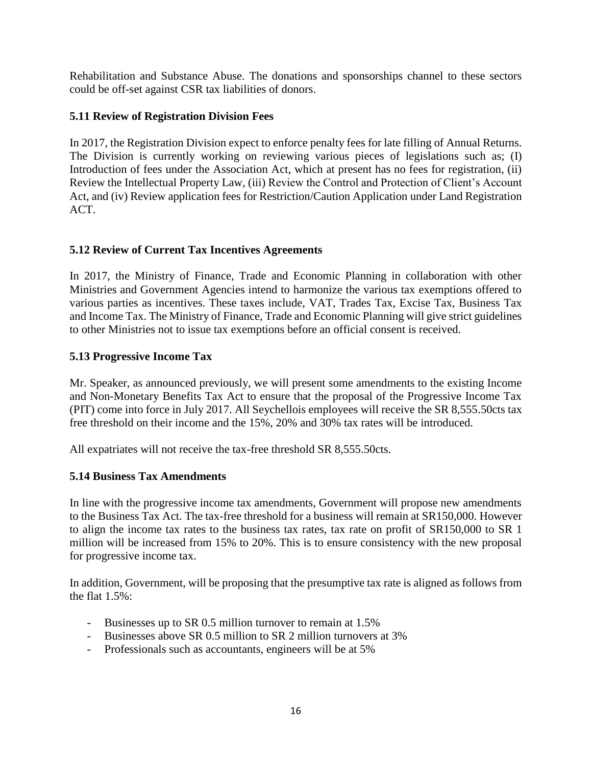Rehabilitation and Substance Abuse. The donations and sponsorships channel to these sectors could be off-set against CSR tax liabilities of donors.

# **5.11 Review of Registration Division Fees**

In 2017, the Registration Division expect to enforce penalty fees for late filling of Annual Returns. The Division is currently working on reviewing various pieces of legislations such as; (I) Introduction of fees under the Association Act, which at present has no fees for registration, (ii) Review the Intellectual Property Law, (iii) Review the Control and Protection of Client's Account Act, and (iv) Review application fees for Restriction/Caution Application under Land Registration ACT.

# **5.12 Review of Current Tax Incentives Agreements**

In 2017, the Ministry of Finance, Trade and Economic Planning in collaboration with other Ministries and Government Agencies intend to harmonize the various tax exemptions offered to various parties as incentives. These taxes include, VAT, Trades Tax, Excise Tax, Business Tax and Income Tax. The Ministry of Finance, Trade and Economic Planning will give strict guidelines to other Ministries not to issue tax exemptions before an official consent is received.

# **5.13 Progressive Income Tax**

Mr. Speaker, as announced previously, we will present some amendments to the existing Income and Non-Monetary Benefits Tax Act to ensure that the proposal of the Progressive Income Tax (PIT) come into force in July 2017. All Seychellois employees will receive the SR 8,555.50cts tax free threshold on their income and the 15%, 20% and 30% tax rates will be introduced.

All expatriates will not receive the tax-free threshold SR 8,555.50cts.

# **5.14 Business Tax Amendments**

In line with the progressive income tax amendments, Government will propose new amendments to the Business Tax Act. The tax-free threshold for a business will remain at SR150,000. However to align the income tax rates to the business tax rates, tax rate on profit of SR150,000 to SR 1 million will be increased from 15% to 20%. This is to ensure consistency with the new proposal for progressive income tax.

In addition, Government, will be proposing that the presumptive tax rate is aligned as follows from the flat 1.5%:

- Businesses up to SR 0.5 million turnover to remain at 1.5%
- Businesses above SR 0.5 million to SR 2 million turnovers at 3%
- Professionals such as accountants, engineers will be at 5%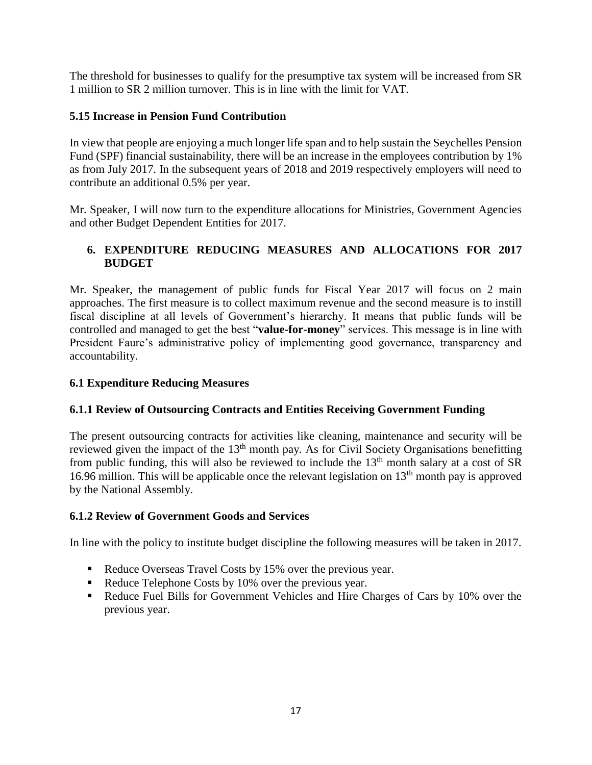The threshold for businesses to qualify for the presumptive tax system will be increased from SR 1 million to SR 2 million turnover. This is in line with the limit for VAT.

# **5.15 Increase in Pension Fund Contribution**

In view that people are enjoying a much longer life span and to help sustain the Seychelles Pension Fund (SPF) financial sustainability, there will be an increase in the employees contribution by 1% as from July 2017. In the subsequent years of 2018 and 2019 respectively employers will need to contribute an additional 0.5% per year.

Mr. Speaker, I will now turn to the expenditure allocations for Ministries, Government Agencies and other Budget Dependent Entities for 2017.

# **6. EXPENDITURE REDUCING MEASURES AND ALLOCATIONS FOR 2017 BUDGET**

Mr. Speaker, the management of public funds for Fiscal Year 2017 will focus on 2 main approaches. The first measure is to collect maximum revenue and the second measure is to instill fiscal discipline at all levels of Government's hierarchy. It means that public funds will be controlled and managed to get the best "**value-for-money**" services. This message is in line with President Faure's administrative policy of implementing good governance, transparency and accountability.

# **6.1 Expenditure Reducing Measures**

# **6.1.1 Review of Outsourcing Contracts and Entities Receiving Government Funding**

The present outsourcing contracts for activities like cleaning, maintenance and security will be reviewed given the impact of the 13<sup>th</sup> month pay. As for Civil Society Organisations benefitting from public funding, this will also be reviewed to include the  $13<sup>th</sup>$  month salary at a cost of SR 16.96 million. This will be applicable once the relevant legislation on  $13<sup>th</sup>$  month pay is approved by the National Assembly.

# **6.1.2 Review of Government Goods and Services**

In line with the policy to institute budget discipline the following measures will be taken in 2017.

- Reduce Overseas Travel Costs by 15% over the previous year.
- Reduce Telephone Costs by 10% over the previous year.
- Reduce Fuel Bills for Government Vehicles and Hire Charges of Cars by 10% over the previous year.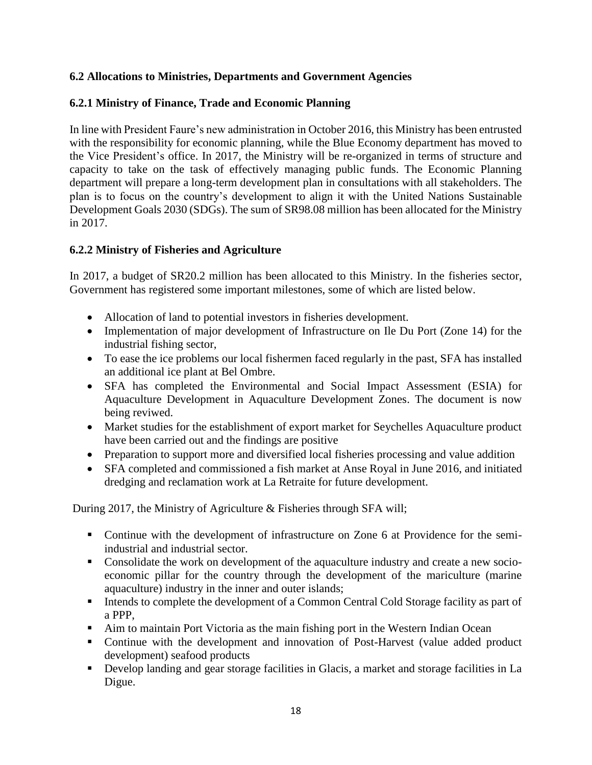# **6.2 Allocations to Ministries, Departments and Government Agencies**

# **6.2.1 Ministry of Finance, Trade and Economic Planning**

In line with President Faure's new administration in October 2016, this Ministry has been entrusted with the responsibility for economic planning, while the Blue Economy department has moved to the Vice President's office. In 2017, the Ministry will be re-organized in terms of structure and capacity to take on the task of effectively managing public funds. The Economic Planning department will prepare a long-term development plan in consultations with all stakeholders. The plan is to focus on the country's development to align it with the United Nations Sustainable Development Goals 2030 (SDGs). The sum of SR98.08 million has been allocated for the Ministry in 2017.

# **6.2.2 Ministry of Fisheries and Agriculture**

In 2017, a budget of SR20.2 million has been allocated to this Ministry. In the fisheries sector, Government has registered some important milestones, some of which are listed below.

- Allocation of land to potential investors in fisheries development.
- Implementation of major development of Infrastructure on Ile Du Port (Zone 14) for the industrial fishing sector,
- To ease the ice problems our local fishermen faced regularly in the past, SFA has installed an additional ice plant at Bel Ombre.
- SFA has completed the Environmental and Social Impact Assessment (ESIA) for Aquaculture Development in Aquaculture Development Zones. The document is now being reviwed.
- Market studies for the establishment of export market for Seychelles Aquaculture product have been carried out and the findings are positive
- Preparation to support more and diversified local fisheries processing and value addition
- SFA completed and commissioned a fish market at Anse Royal in June 2016, and initiated dredging and reclamation work at La Retraite for future development.

During 2017, the Ministry of Agriculture & Fisheries through SFA will;

- Continue with the development of infrastructure on Zone 6 at Providence for the semiindustrial and industrial sector.
- Consolidate the work on development of the aquaculture industry and create a new socioeconomic pillar for the country through the development of the mariculture (marine aquaculture) industry in the inner and outer islands;
- Intends to complete the development of a Common Central Cold Storage facility as part of a PPP,
- Aim to maintain Port Victoria as the main fishing port in the Western Indian Ocean
- Continue with the development and innovation of Post-Harvest (value added product development) seafood products
- Develop landing and gear storage facilities in Glacis, a market and storage facilities in La Digue.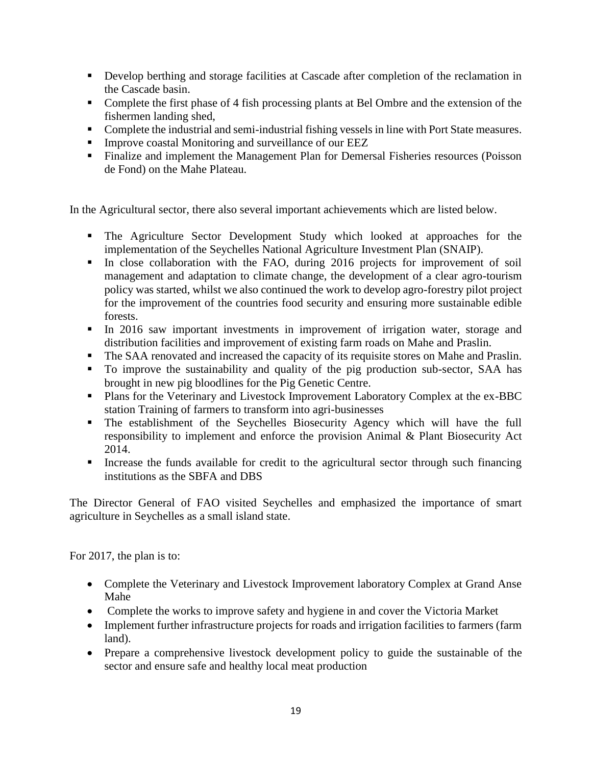- Develop berthing and storage facilities at Cascade after completion of the reclamation in the Cascade basin.
- Complete the first phase of 4 fish processing plants at Bel Ombre and the extension of the fishermen landing shed,
- Complete the industrial and semi-industrial fishing vessels in line with Port State measures.
- **Improve coastal Monitoring and surveillance of our EEZ**
- Finalize and implement the Management Plan for Demersal Fisheries resources (Poisson de Fond) on the Mahe Plateau.

In the Agricultural sector, there also several important achievements which are listed below.

- The Agriculture Sector Development Study which looked at approaches for the implementation of the Seychelles National Agriculture Investment Plan (SNAIP).
- In close collaboration with the FAO, during 2016 projects for improvement of soil management and adaptation to climate change, the development of a clear agro-tourism policy was started, whilst we also continued the work to develop agro-forestry pilot project for the improvement of the countries food security and ensuring more sustainable edible forests.
- In 2016 saw important investments in improvement of irrigation water, storage and distribution facilities and improvement of existing farm roads on Mahe and Praslin.
- The SAA renovated and increased the capacity of its requisite stores on Mahe and Praslin.
- To improve the sustainability and quality of the pig production sub-sector, SAA has brought in new pig bloodlines for the Pig Genetic Centre.
- **Plans for the Veterinary and Livestock Improvement Laboratory Complex at the ex-BBC** station Training of farmers to transform into agri-businesses
- The establishment of the Seychelles Biosecurity Agency which will have the full responsibility to implement and enforce the provision Animal & Plant Biosecurity Act 2014.
- Increase the funds available for credit to the agricultural sector through such financing institutions as the SBFA and DBS

The Director General of FAO visited Seychelles and emphasized the importance of smart agriculture in Seychelles as a small island state.

For 2017, the plan is to:

- Complete the Veterinary and Livestock Improvement laboratory Complex at Grand Anse Mahe
- Complete the works to improve safety and hygiene in and cover the Victoria Market
- Implement further infrastructure projects for roads and irrigation facilities to farmers (farm land).
- Prepare a comprehensive livestock development policy to guide the sustainable of the sector and ensure safe and healthy local meat production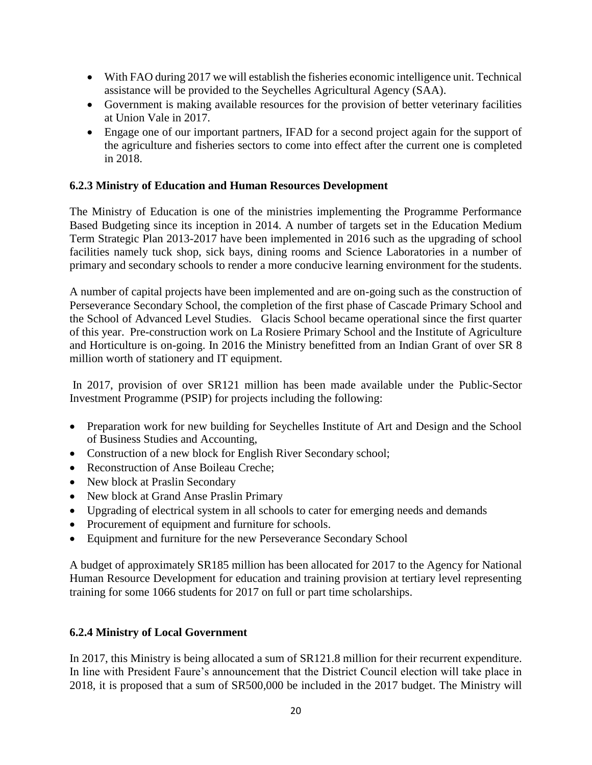- With FAO during 2017 we will establish the fisheries economic intelligence unit. Technical assistance will be provided to the Seychelles Agricultural Agency (SAA).
- Government is making available resources for the provision of better veterinary facilities at Union Vale in 2017.
- Engage one of our important partners, IFAD for a second project again for the support of the agriculture and fisheries sectors to come into effect after the current one is completed in 2018.

# **6.2.3 Ministry of Education and Human Resources Development**

The Ministry of Education is one of the ministries implementing the Programme Performance Based Budgeting since its inception in 2014. A number of targets set in the Education Medium Term Strategic Plan 2013-2017 have been implemented in 2016 such as the upgrading of school facilities namely tuck shop, sick bays, dining rooms and Science Laboratories in a number of primary and secondary schools to render a more conducive learning environment for the students.

A number of capital projects have been implemented and are on-going such as the construction of Perseverance Secondary School, the completion of the first phase of Cascade Primary School and the School of Advanced Level Studies. Glacis School became operational since the first quarter of this year. Pre-construction work on La Rosiere Primary School and the Institute of Agriculture and Horticulture is on-going. In 2016 the Ministry benefitted from an Indian Grant of over SR 8 million worth of stationery and IT equipment.

In 2017, provision of over SR121 million has been made available under the Public-Sector Investment Programme (PSIP) for projects including the following:

- Preparation work for new building for Seychelles Institute of Art and Design and the School of Business Studies and Accounting,
- Construction of a new block for English River Secondary school;
- Reconstruction of Anse Boileau Creche;
- New block at Praslin Secondary
- New block at Grand Anse Praslin Primary
- Upgrading of electrical system in all schools to cater for emerging needs and demands
- Procurement of equipment and furniture for schools.
- Equipment and furniture for the new Perseverance Secondary School

A budget of approximately SR185 million has been allocated for 2017 to the Agency for National Human Resource Development for education and training provision at tertiary level representing training for some 1066 students for 2017 on full or part time scholarships.

# **6.2.4 Ministry of Local Government**

In 2017, this Ministry is being allocated a sum of SR121.8 million for their recurrent expenditure. In line with President Faure's announcement that the District Council election will take place in 2018, it is proposed that a sum of SR500,000 be included in the 2017 budget. The Ministry will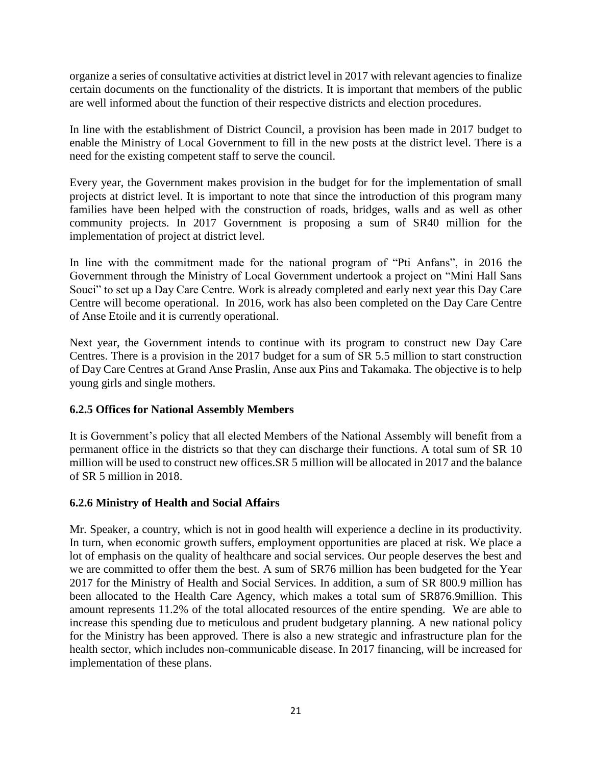organize a series of consultative activities at district level in 2017 with relevant agencies to finalize certain documents on the functionality of the districts. It is important that members of the public are well informed about the function of their respective districts and election procedures.

In line with the establishment of District Council, a provision has been made in 2017 budget to enable the Ministry of Local Government to fill in the new posts at the district level. There is a need for the existing competent staff to serve the council.

Every year, the Government makes provision in the budget for for the implementation of small projects at district level. It is important to note that since the introduction of this program many families have been helped with the construction of roads, bridges, walls and as well as other community projects. In 2017 Government is proposing a sum of SR40 million for the implementation of project at district level.

In line with the commitment made for the national program of "Pti Anfans", in 2016 the Government through the Ministry of Local Government undertook a project on "Mini Hall Sans Souci" to set up a Day Care Centre. Work is already completed and early next year this Day Care Centre will become operational. In 2016, work has also been completed on the Day Care Centre of Anse Etoile and it is currently operational.

Next year, the Government intends to continue with its program to construct new Day Care Centres. There is a provision in the 2017 budget for a sum of SR 5.5 million to start construction of Day Care Centres at Grand Anse Praslin, Anse aux Pins and Takamaka. The objective is to help young girls and single mothers.

# **6.2.5 Offices for National Assembly Members**

It is Government's policy that all elected Members of the National Assembly will benefit from a permanent office in the districts so that they can discharge their functions. A total sum of SR 10 million will be used to construct new offices.SR 5 million will be allocated in 2017 and the balance of SR 5 million in 2018.

#### **6.2.6 Ministry of Health and Social Affairs**

Mr. Speaker, a country, which is not in good health will experience a decline in its productivity. In turn, when economic growth suffers, employment opportunities are placed at risk. We place a lot of emphasis on the quality of healthcare and social services. Our people deserves the best and we are committed to offer them the best. A sum of SR76 million has been budgeted for the Year 2017 for the Ministry of Health and Social Services. In addition, a sum of SR 800.9 million has been allocated to the Health Care Agency, which makes a total sum of SR876.9million. This amount represents 11.2% of the total allocated resources of the entire spending. We are able to increase this spending due to meticulous and prudent budgetary planning. A new national policy for the Ministry has been approved. There is also a new strategic and infrastructure plan for the health sector, which includes non-communicable disease. In 2017 financing, will be increased for implementation of these plans.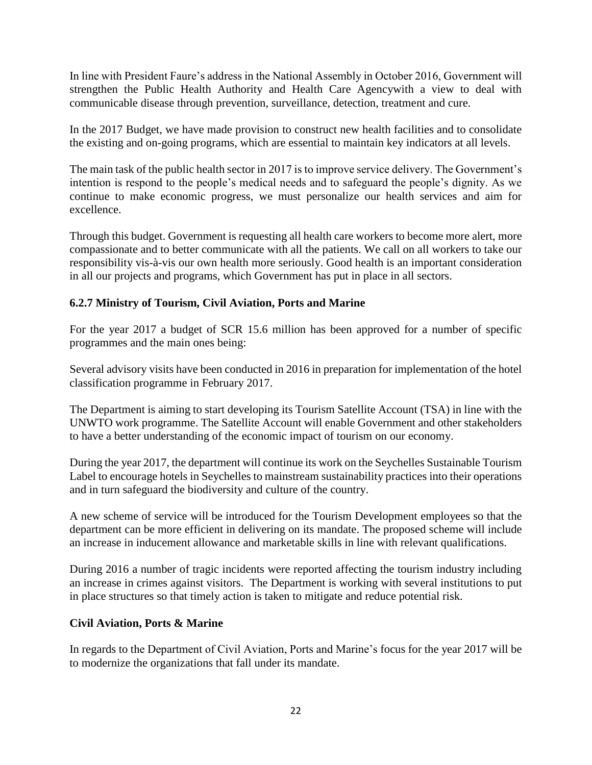In line with President Faure's address in the National Assembly in October 2016, Government will strengthen the Public Health Authority and Health Care Agencywith a view to deal with communicable disease through prevention, surveillance, detection, treatment and cure.

In the 2017 Budget, we have made provision to construct new health facilities and to consolidate the existing and on-going programs, which are essential to maintain key indicators at all levels.

The main task of the public health sector in 2017 is to improve service delivery. The Government's intention is respond to the people's medical needs and to safeguard the people's dignity. As we continue to make economic progress, we must personalize our health services and aim for excellence.

Through this budget. Government is requesting all health care workers to become more alert, more compassionate and to better communicate with all the patients. We call on all workers to take our responsibility vis-à-vis our own health more seriously. Good health is an important consideration in all our projects and programs, which Government has put in place in all sectors.

# **6.2.7 Ministry of Tourism, Civil Aviation, Ports and Marine**

For the year 2017 a budget of SCR 15.6 million has been approved for a number of specific programmes and the main ones being:

Several advisory visits have been conducted in 2016 in preparation for implementation of the hotel classification programme in February 2017.

The Department is aiming to start developing its Tourism Satellite Account (TSA) in line with the UNWTO work programme. The Satellite Account will enable Government and other stakeholders to have a better understanding of the economic impact of tourism on our economy.

During the year 2017, the department will continue its work on the Seychelles Sustainable Tourism Label to encourage hotels in Seychelles to mainstream sustainability practices into their operations and in turn safeguard the biodiversity and culture of the country.

A new scheme of service will be introduced for the Tourism Development employees so that the department can be more efficient in delivering on its mandate. The proposed scheme will include an increase in inducement allowance and marketable skills in line with relevant qualifications.

During 2016 a number of tragic incidents were reported affecting the tourism industry including an increase in crimes against visitors. The Department is working with several institutions to put in place structures so that timely action is taken to mitigate and reduce potential risk.

# **Civil Aviation, Ports & Marine**

In regards to the Department of Civil Aviation, Ports and Marine's focus for the year 2017 will be to modernize the organizations that fall under its mandate.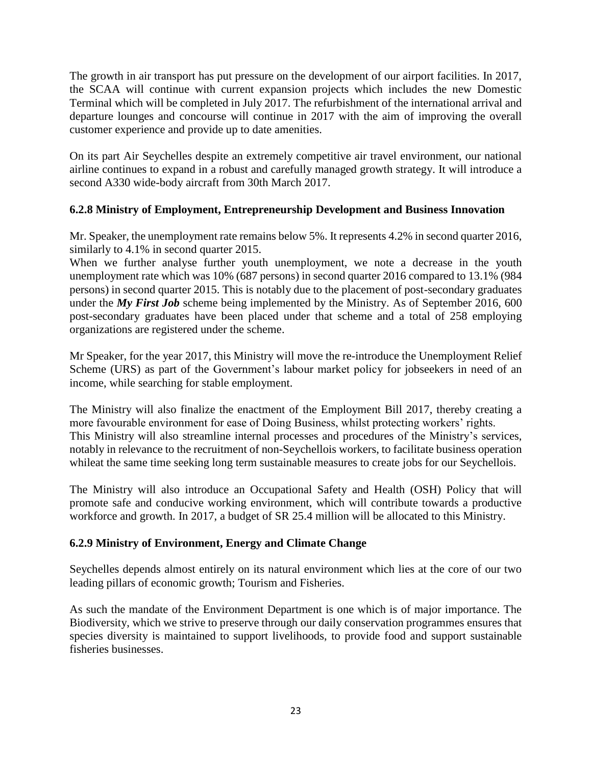The growth in air transport has put pressure on the development of our airport facilities. In 2017, the SCAA will continue with current expansion projects which includes the new Domestic Terminal which will be completed in July 2017. The refurbishment of the international arrival and departure lounges and concourse will continue in 2017 with the aim of improving the overall customer experience and provide up to date amenities.

On its part Air Seychelles despite an extremely competitive air travel environment, our national airline continues to expand in a robust and carefully managed growth strategy. It will introduce a second A330 wide-body aircraft from 30th March 2017.

# **6.2.8 Ministry of Employment, Entrepreneurship Development and Business Innovation**

Mr. Speaker, the unemployment rate remains below 5%. It represents 4.2% in second quarter 2016, similarly to 4.1% in second quarter 2015.

When we further analyse further youth unemployment, we note a decrease in the youth unemployment rate which was 10% (687 persons) in second quarter 2016 compared to 13.1% (984 persons) in second quarter 2015. This is notably due to the placement of post-secondary graduates under the *My First Job* scheme being implemented by the Ministry. As of September 2016, 600 post-secondary graduates have been placed under that scheme and a total of 258 employing organizations are registered under the scheme.

Mr Speaker, for the year 2017, this Ministry will move the re-introduce the Unemployment Relief Scheme (URS) as part of the Government's labour market policy for jobseekers in need of an income, while searching for stable employment.

The Ministry will also finalize the enactment of the Employment Bill 2017, thereby creating a more favourable environment for ease of Doing Business, whilst protecting workers' rights. This Ministry will also streamline internal processes and procedures of the Ministry's services, notably in relevance to the recruitment of non-Seychellois workers, to facilitate business operation whileat the same time seeking long term sustainable measures to create jobs for our Seychellois.

The Ministry will also introduce an Occupational Safety and Health (OSH) Policy that will promote safe and conducive working environment, which will contribute towards a productive workforce and growth. In 2017, a budget of SR 25.4 million will be allocated to this Ministry.

# **6.2.9 Ministry of Environment, Energy and Climate Change**

Seychelles depends almost entirely on its natural environment which lies at the core of our two leading pillars of economic growth; Tourism and Fisheries.

As such the mandate of the Environment Department is one which is of major importance. The Biodiversity, which we strive to preserve through our daily conservation programmes ensures that species diversity is maintained to support livelihoods, to provide food and support sustainable fisheries businesses.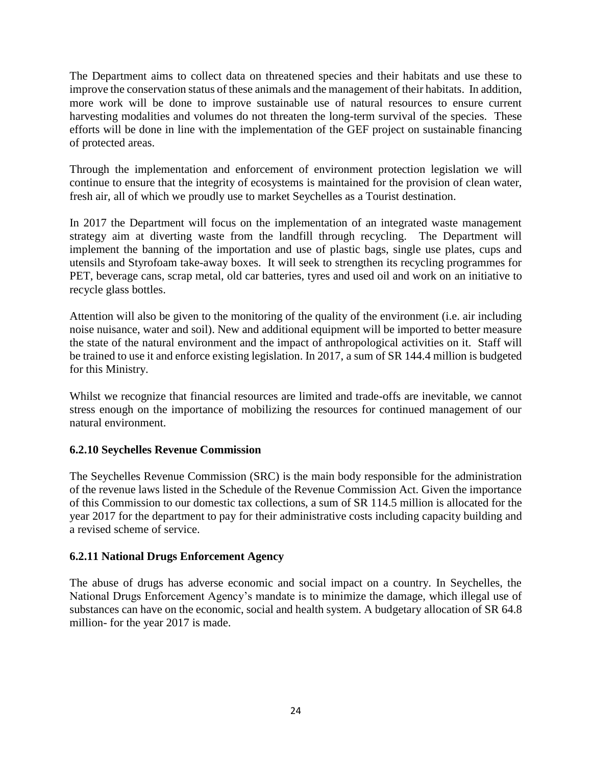The Department aims to collect data on threatened species and their habitats and use these to improve the conservation status of these animals and the management of their habitats. In addition, more work will be done to improve sustainable use of natural resources to ensure current harvesting modalities and volumes do not threaten the long-term survival of the species. These efforts will be done in line with the implementation of the GEF project on sustainable financing of protected areas.

Through the implementation and enforcement of environment protection legislation we will continue to ensure that the integrity of ecosystems is maintained for the provision of clean water, fresh air, all of which we proudly use to market Seychelles as a Tourist destination.

In 2017 the Department will focus on the implementation of an integrated waste management strategy aim at diverting waste from the landfill through recycling. The Department will implement the banning of the importation and use of plastic bags, single use plates, cups and utensils and Styrofoam take-away boxes. It will seek to strengthen its recycling programmes for PET, beverage cans, scrap metal, old car batteries, tyres and used oil and work on an initiative to recycle glass bottles.

Attention will also be given to the monitoring of the quality of the environment (i.e. air including noise nuisance, water and soil). New and additional equipment will be imported to better measure the state of the natural environment and the impact of anthropological activities on it. Staff will be trained to use it and enforce existing legislation. In 2017, a sum of SR 144.4 million is budgeted for this Ministry.

Whilst we recognize that financial resources are limited and trade-offs are inevitable, we cannot stress enough on the importance of mobilizing the resources for continued management of our natural environment.

# **6.2.10 Seychelles Revenue Commission**

The Seychelles Revenue Commission (SRC) is the main body responsible for the administration of the revenue laws listed in the Schedule of the Revenue Commission Act. Given the importance of this Commission to our domestic tax collections, a sum of SR 114.5 million is allocated for the year 2017 for the department to pay for their administrative costs including capacity building and a revised scheme of service.

# **6.2.11 National Drugs Enforcement Agency**

The abuse of drugs has adverse economic and social impact on a country. In Seychelles, the National Drugs Enforcement Agency's mandate is to minimize the damage, which illegal use of substances can have on the economic, social and health system. A budgetary allocation of SR 64.8 million- for the year 2017 is made.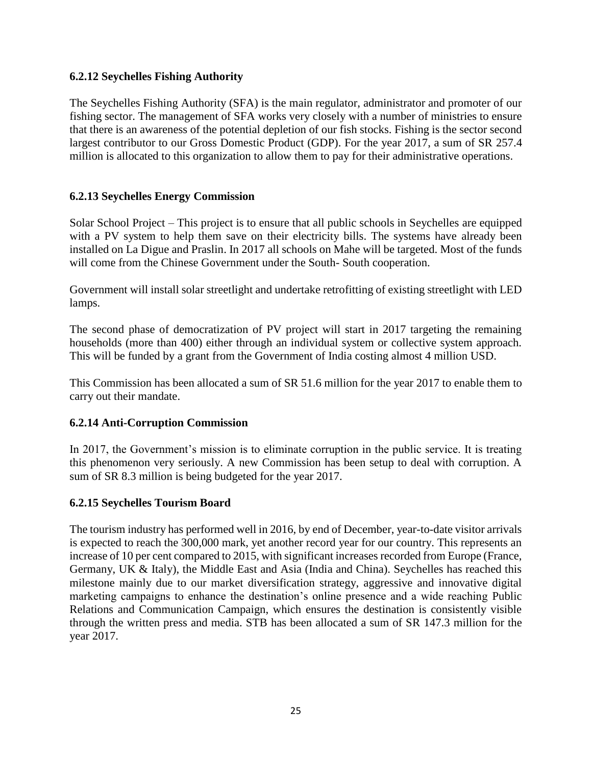#### **6.2.12 Seychelles Fishing Authority**

The Seychelles Fishing Authority (SFA) is the main regulator, administrator and promoter of our fishing sector. The management of SFA works very closely with a number of ministries to ensure that there is an awareness of the potential depletion of our fish stocks. Fishing is the sector second largest contributor to our Gross Domestic Product (GDP). For the year 2017, a sum of SR 257.4 million is allocated to this organization to allow them to pay for their administrative operations.

# **6.2.13 Seychelles Energy Commission**

Solar School Project – This project is to ensure that all public schools in Seychelles are equipped with a PV system to help them save on their electricity bills. The systems have already been installed on La Digue and Praslin. In 2017 all schools on Mahe will be targeted. Most of the funds will come from the Chinese Government under the South- South cooperation.

Government will install solar streetlight and undertake retrofitting of existing streetlight with LED lamps.

The second phase of democratization of PV project will start in 2017 targeting the remaining households (more than 400) either through an individual system or collective system approach. This will be funded by a grant from the Government of India costing almost 4 million USD.

This Commission has been allocated a sum of SR 51.6 million for the year 2017 to enable them to carry out their mandate.

#### **6.2.14 Anti-Corruption Commission**

In 2017, the Government's mission is to eliminate corruption in the public service. It is treating this phenomenon very seriously. A new Commission has been setup to deal with corruption. A sum of SR 8.3 million is being budgeted for the year 2017.

#### **6.2.15 Seychelles Tourism Board**

The tourism industry has performed well in 2016, by end of December, year-to-date visitor arrivals is expected to reach the 300,000 mark, yet another record year for our country. This represents an increase of 10 per cent compared to 2015, with significant increases recorded from Europe (France, Germany, UK & Italy), the Middle East and Asia (India and China). Seychelles has reached this milestone mainly due to our market diversification strategy, aggressive and innovative digital marketing campaigns to enhance the destination's online presence and a wide reaching Public Relations and Communication Campaign, which ensures the destination is consistently visible through the written press and media. STB has been allocated a sum of SR 147.3 million for the year 2017.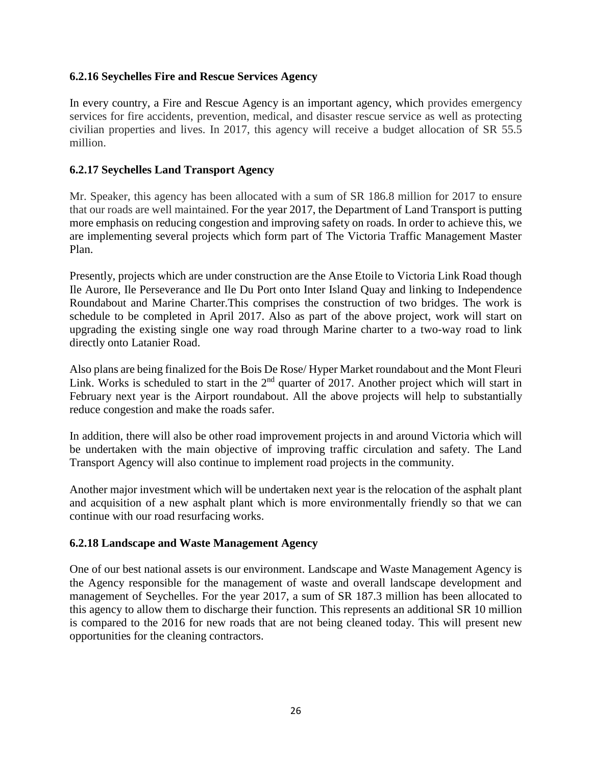#### **6.2.16 Seychelles Fire and Rescue Services Agency**

In every country, a Fire and Rescue Agency is an important agency, which provides emergency services for fire accidents, prevention, medical, and disaster rescue service as well as protecting civilian properties and lives. In 2017, this agency will receive a budget allocation of SR 55.5 million.

#### **6.2.17 Seychelles Land Transport Agency**

Mr. Speaker, this agency has been allocated with a sum of SR 186.8 million for 2017 to ensure that our roads are well maintained. For the year 2017, the Department of Land Transport is putting more emphasis on reducing congestion and improving safety on roads. In order to achieve this, we are implementing several projects which form part of The Victoria Traffic Management Master Plan.

Presently, projects which are under construction are the Anse Etoile to Victoria Link Road though Ile Aurore, Ile Perseverance and Ile Du Port onto Inter Island Quay and linking to Independence Roundabout and Marine Charter.This comprises the construction of two bridges. The work is schedule to be completed in April 2017. Also as part of the above project, work will start on upgrading the existing single one way road through Marine charter to a two-way road to link directly onto Latanier Road.

Also plans are being finalized for the Bois De Rose/ Hyper Market roundabout and the Mont Fleuri Link. Works is scheduled to start in the 2<sup>nd</sup> quarter of 2017. Another project which will start in February next year is the Airport roundabout. All the above projects will help to substantially reduce congestion and make the roads safer.

In addition, there will also be other road improvement projects in and around Victoria which will be undertaken with the main objective of improving traffic circulation and safety. The Land Transport Agency will also continue to implement road projects in the community.

Another major investment which will be undertaken next year is the relocation of the asphalt plant and acquisition of a new asphalt plant which is more environmentally friendly so that we can continue with our road resurfacing works.

#### **6.2.18 Landscape and Waste Management Agency**

One of our best national assets is our environment. Landscape and Waste Management Agency is the Agency responsible for the management of waste and overall landscape development and management of Seychelles. For the year 2017, a sum of SR 187.3 million has been allocated to this agency to allow them to discharge their function. This represents an additional SR 10 million is compared to the 2016 for new roads that are not being cleaned today. This will present new opportunities for the cleaning contractors.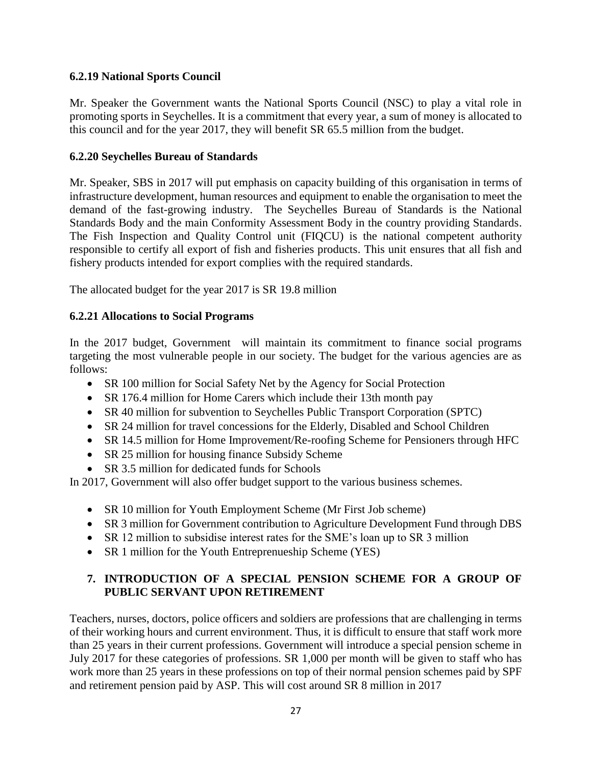# **6.2.19 National Sports Council**

Mr. Speaker the Government wants the National Sports Council (NSC) to play a vital role in promoting sports in Seychelles. It is a commitment that every year, a sum of money is allocated to this council and for the year 2017, they will benefit SR 65.5 million from the budget.

# **6.2.20 Seychelles Bureau of Standards**

Mr. Speaker, SBS in 2017 will put emphasis on capacity building of this organisation in terms of infrastructure development, human resources and equipment to enable the organisation to meet the demand of the fast-growing industry. The Seychelles Bureau of Standards is the National Standards Body and the main Conformity Assessment Body in the country providing Standards. The Fish Inspection and Quality Control unit (FIQCU) is the national competent authority responsible to certify all export of fish and fisheries products. This unit ensures that all fish and fishery products intended for export complies with the required standards.

The allocated budget for the year 2017 is SR 19.8 million

# **6.2.21 Allocations to Social Programs**

In the 2017 budget, Government will maintain its commitment to finance social programs targeting the most vulnerable people in our society. The budget for the various agencies are as follows:

- SR 100 million for Social Safety Net by the Agency for Social Protection
- SR 176.4 million for Home Carers which include their 13th month pay
- SR 40 million for subvention to Seychelles Public Transport Corporation (SPTC)
- SR 24 million for travel concessions for the Elderly, Disabled and School Children
- SR 14.5 million for Home Improvement/Re-roofing Scheme for Pensioners through HFC
- SR 25 million for housing finance Subsidy Scheme
- SR 3.5 million for dedicated funds for Schools

In 2017, Government will also offer budget support to the various business schemes.

- SR 10 million for Youth Employment Scheme (Mr First Job scheme)
- SR 3 million for Government contribution to Agriculture Development Fund through DBS
- SR 12 million to subsidise interest rates for the SME's loan up to SR 3 million
- SR 1 million for the Youth Entreprenueship Scheme (YES)

# **7. INTRODUCTION OF A SPECIAL PENSION SCHEME FOR A GROUP OF PUBLIC SERVANT UPON RETIREMENT**

Teachers, nurses, doctors, police officers and soldiers are professions that are challenging in terms of their working hours and current environment. Thus, it is difficult to ensure that staff work more than 25 years in their current professions. Government will introduce a special pension scheme in July 2017 for these categories of professions. SR 1,000 per month will be given to staff who has work more than 25 years in these professions on top of their normal pension schemes paid by SPF and retirement pension paid by ASP. This will cost around SR 8 million in 2017